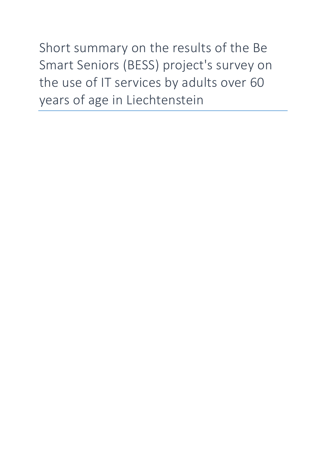Short summary on the results of the Be Smart Seniors (BESS) project's survey on the use of IT services by adults over 60 years of age in Liechtenstein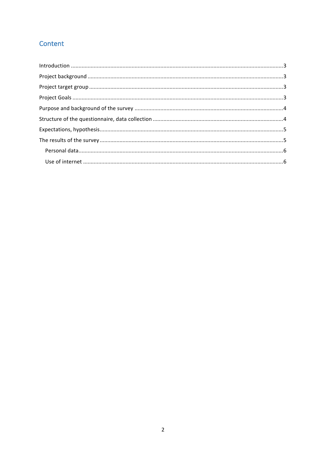# Content

| $\label{lem:1} \mbox{Introduction} \,\, \ldots \,\, \ldots \,\, \ldots \,\, \ldots \,\, \ldots \,\, \ldots \,\, \ldots \,\, \ldots \,\, \ldots \,\, \ldots \,\, \ldots \,\, \ldots \,\, \ldots \,\, \ldots \,\, \ldots \,\, \ldots \,\, \ldots \,\, \ldots \,\, \ldots \,\, \ldots \,\, \ldots \,\, \ldots \,\, \ldots \,\, \ldots \,\, \ldots \,\, \ldots \,\, \ldots \,\, \ldots \,\, \ldots \,\, \ldots \,\, \ldots \,\, \ldots \,\, \ldots \,\, \ldots \,\,$ |  |
|------------------------------------------------------------------------------------------------------------------------------------------------------------------------------------------------------------------------------------------------------------------------------------------------------------------------------------------------------------------------------------------------------------------------------------------------------------------|--|
|                                                                                                                                                                                                                                                                                                                                                                                                                                                                  |  |
|                                                                                                                                                                                                                                                                                                                                                                                                                                                                  |  |
|                                                                                                                                                                                                                                                                                                                                                                                                                                                                  |  |
|                                                                                                                                                                                                                                                                                                                                                                                                                                                                  |  |
|                                                                                                                                                                                                                                                                                                                                                                                                                                                                  |  |
|                                                                                                                                                                                                                                                                                                                                                                                                                                                                  |  |
|                                                                                                                                                                                                                                                                                                                                                                                                                                                                  |  |
|                                                                                                                                                                                                                                                                                                                                                                                                                                                                  |  |
|                                                                                                                                                                                                                                                                                                                                                                                                                                                                  |  |
|                                                                                                                                                                                                                                                                                                                                                                                                                                                                  |  |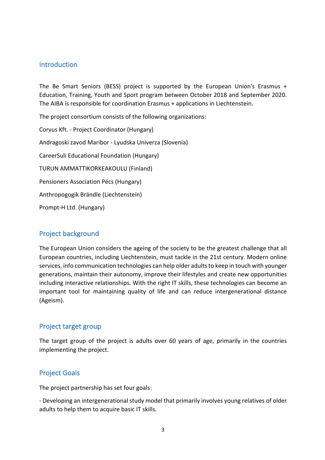#### Introduction

The Be Smart Seniors (BESS) project is supported by the European Union's Erasmus + Education, Training, Youth and Sport program between October 2018 and September 2020. The AIBA is responsible for coordination Erasmus + applications in Liechtenstein.

The project consortium consists of the following organizations:

Corvus Kft. - Project Coordinator (Hungary) Andragoski zavod Maribor - Lyudska Univerza (Slovenia) CareerSuli Educational Foundation (Hungary) TURUN AMMATTIKORKEAKOULU (Finland) Pensioners Association Pécs (Hungary) Anthropogogik Brändle (Liechtenstein) Prompt-H Ltd. (Hungary)

### Project background

The European Union considers the ageing of the society to be the greatest challenge that all European countries, including Liechtenstein, must tackle in the 21st century. Modern online services, info communication technologies can help older adults to keep in touch with younger generations, maintain their autonomy, improve their lifestyles and create new opportunities including interactive relationships. With the right IT skills, these technologies can become an important tool for maintaining quality of life and can reduce intergenerational distance (Ageism).

### Project target group

The target group of the project is adults over 60 years of age, primarily in the countries implementing the project.

### **Project Goals**

The project partnership has set four goals:

- Developing an intergenerational study model that primarily involves young relatives of older adults to help them to acquire basic IT skills.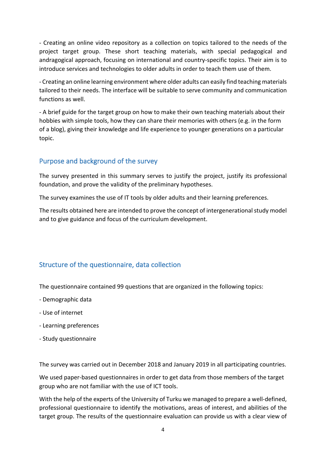- Creating an online video repository as a collection on topics tailored to the needs of the project target group. These short teaching materials, with special pedagogical and andragogical approach, focusing on international and country-specific topics. Their aim is to introduce services and technologies to older adults in order to teach them use of them.

- Creating an online learning environment where older adults can easily find teaching materials tailored to their needs. The interface will be suitable to serve community and communication functions as well.

- A brief guide for the target group on how to make their own teaching materials about their hobbies with simple tools, how they can share their memories with others (e.g. in the form of a blog), giving their knowledge and life experience to younger generations on a particular topic.

## Purpose and background of the survey

The survey presented in this summary serves to justify the project, justify its professional foundation, and prove the validity of the preliminary hypotheses.

The survey examines the use of IT tools by older adults and their learning preferences.

The results obtained here are intended to prove the concept of intergenerational study model and to give guidance and focus of the curriculum development.

# Structure of the questionnaire, data collection

The questionnaire contained 99 questions that are organized in the following topics:

- Demographic data
- Use of internet
- Learning preferences
- Study questionnaire

The survey was carried out in December 2018 and January 2019 in all participating countries.

We used paper-based questionnaires in order to get data from those members of the target group who are not familiar with the use of ICT tools.

With the help of the experts of the University of Turku we managed to prepare a well-defined, professional questionnaire to identify the motivations, areas of interest, and abilities of the target group. The results of the questionnaire evaluation can provide us with a clear view of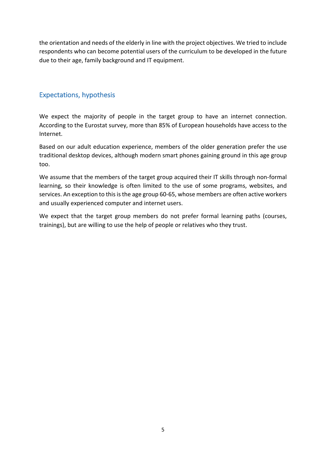the orientation and needs of the elderly in line with the project objectives. We tried to include respondents who can become potential users of the curriculum to be developed in the future due to their age, family background and IT equipment.

### Expectations, hypothesis

We expect the majority of people in the target group to have an internet connection. According to the Eurostat survey, more than 85% of European households have access to the Internet.

Based on our adult education experience, members of the older generation prefer the use traditional desktop devices, although modern smart phones gaining ground in this age group too.

We assume that the members of the target group acquired their IT skills through non-formal learning, so their knowledge is often limited to the use of some programs, websites, and services. An exception to this is the age group 60-65, whose members are often active workers and usually experienced computer and internet users.

We expect that the target group members do not prefer formal learning paths (courses, trainings), but are willing to use the help of people or relatives who they trust.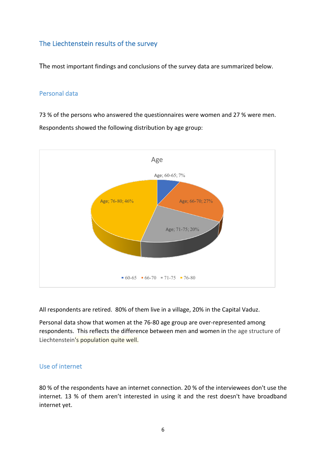### The Liechtenstein results of the survey

The most important findings and conclusions of the survey data are summarized below.

#### Personal data

73 % of the persons who answered the questionnaires were women and 27 % were men. Respondents showed the following distribution by age group:



All respondents are retired. 80% of them live in a village, 20% in the Capital Vaduz.

Personal data show that women at the 76-80 age group are over-represented among respondents. This reflects the difference between men and women in the age structure of Liechtenstein's population quite well.

#### Use of internet

80 % of the respondents have an internet connection. 20 % of the interviewees don't use the internet. 13 % of them aren't interested in using it and the rest doesn't have broadband internet yet.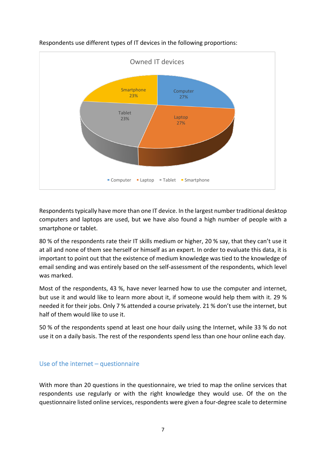

Respondents use different types of IT devices in the following proportions:

Respondents typically have more than one IT device. In the largest number traditional desktop computers and laptops are used, but we have also found a high number of people with a smartphone or tablet.

80 % of the respondents rate their IT skills medium or higher, 20 % say, that they can't use it at all and none of them see herself or himself as an expert. In order to evaluate this data, it is important to point out that the existence of medium knowledge was tied to the knowledge of email sending and was entirely based on the self-assessment of the respondents, which level was marked.

Most of the respondents, 43 %, have never learned how to use the computer and internet, but use it and would like to learn more about it, if someone would help them with it. 29 % needed it for their jobs. Only 7 % attended a course privately. 21 % don't use the internet, but half of them would like to use it.

50 % of the respondents spend at least one hour daily using the Internet, while 33 % do not use it on a daily basis. The rest of the respondents spend less than one hour online each day.

#### Use of the internet  $-$  questionnaire

With more than 20 questions in the questionnaire, we tried to map the online services that respondents use regularly or with the right knowledge they would use. Of the on the questionnaire listed online services, respondents were given a four-degree scale to determine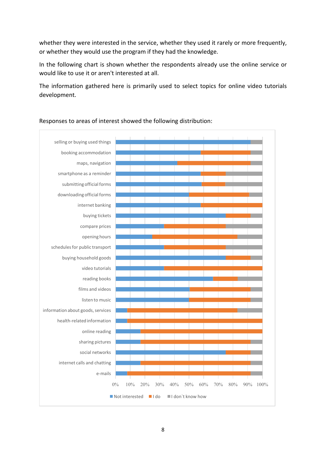whether they were interested in the service, whether they used it rarely or more frequently, or whether they would use the program if they had the knowledge.

In the following chart is shown whether the respondents already use the online service or would like to use it or aren't interested at all.

The information gathered here is primarily used to select topics for online video tutorials development.



Responses to areas of interest showed the following distribution: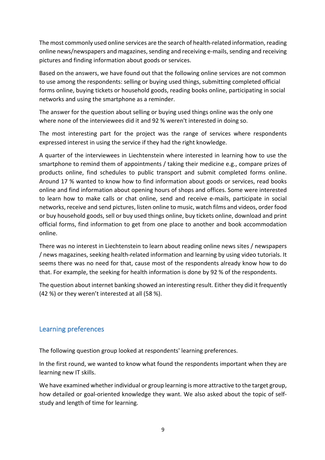The most commonly used online services are the search of health-related information, reading online news/newspapers and magazines, sending and receiving e-mails, sending and receiving pictures and finding information about goods or services.

Based on the answers, we have found out that the following online services are not common to use among the respondents: selling or buying used things, submitting completed official forms online, buying tickets or household goods, reading books online, participating in social networks and using the smartphone as a reminder.

The answer for the question about selling or buying used things online was the only one where none of the interviewees did it and 92 % weren't interested in doing so.

The most interesting part for the project was the range of services where respondents expressed interest in using the service if they had the right knowledge.

A quarter of the interviewees in Liechtenstein where interested in learning how to use the smartphone to remind them of appointments / taking their medicine e.g., compare prizes of products online, find schedules to public transport and submit completed forms online. Around 17 % wanted to know how to find information about goods or services, read books online and find information about opening hours of shops and offices. Some were interested to learn how to make calls or chat online, send and receive e-mails, participate in social networks, receive and send pictures, listen online to music, watch films and videos, order food or buy household goods, sell or buy used things online, buy tickets online, download and print official forms, find information to get from one place to another and book accommodation online.

There was no interest in Liechtenstein to learn about reading online news sites / newspapers / news magazines, seeking health-related information and learning by using video tutorials. It seems there was no need for that, cause most of the respondents already know how to do that. For example, the seeking for health information is done by 92 % of the respondents.

The question about internet banking showed an interesting result. Either they did it frequently  $(42 %)$  or they weren't interested at all  $(58 %)$ .

### Learning preferences

The following question group looked at respondents' learning preferences.

In the first round, we wanted to know what found the respondents important when they are learning new IT skills.

We have examined whether individual or group learning is more attractive to the target group, how detailed or goal-oriented knowledge they want. We also asked about the topic of selfstudy and length of time for learning.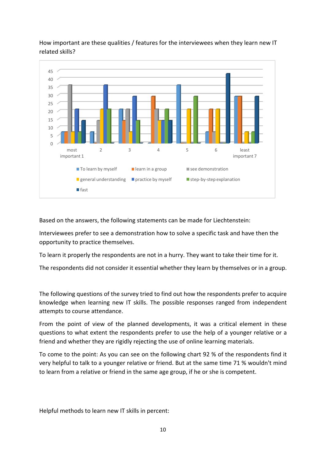

How important are these qualities / features for the interviewees when they learn new IT related skills?

Based on the answers, the following statements can be made for Liechtenstein:

Interviewees prefer to see a demonstration how to solve a specific task and have then the opportunity to practice themselves.

To learn it properly the respondents are not in a hurry. They want to take their time for it.

The respondents did not consider it essential whether they learn by themselves or in a group.

The following questions of the survey tried to find out how the respondents prefer to acquire knowledge when learning new IT skills. The possible responses ranged from independent attempts to course attendance.

From the point of view of the planned developments, it was a critical element in these questions to what extent the respondents prefer to use the help of a younger relative or a friend and whether they are rigidly rejecting the use of online learning materials.

To come to the point: As you can see on the following chart 92 % of the respondents find it very helpful to talk to a younger relative or friend. But at the same time 71 % wouldn't mind to learn from a relative or friend in the same age group, if he or she is competent.

Helpful methods to learn new IT skills in percent: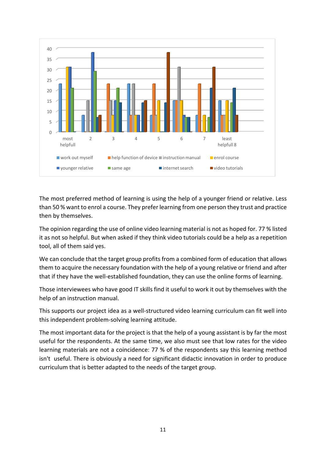

The most preferred method of learning is using the help of a younger friend or relative. Less than 50% want to enrol a course. They prefer learning from one person they trust and practice then by themselves.

The opinion regarding the use of online video learning material is not as hoped for. 77 % listed it as not so helpful. But when asked if they think video tutorials could be a help as a repetition tool, all of them said yes.

We can conclude that the target group profits from a combined form of education that allows them to acquire the necessary foundation with the help of a young relative or friend and after that if they have the well-established foundation, they can use the online forms of learning.

Those interviewees who have good IT skills find it useful to work it out by themselves with the help of an instruction manual.

This supports our project idea as a well-structured video learning curriculum can fit well into this independent problem-solving learning attitude.

The most important data for the project is that the help of a young assistant is by far the most useful for the respondents. At the same time, we also must see that low rates for the video learning materials are not a coincidence: 77 % of the respondents say this learning method isn't useful. There is obviously a need for significant didactic innovation in order to produce curriculum that is better adapted to the needs of the target group.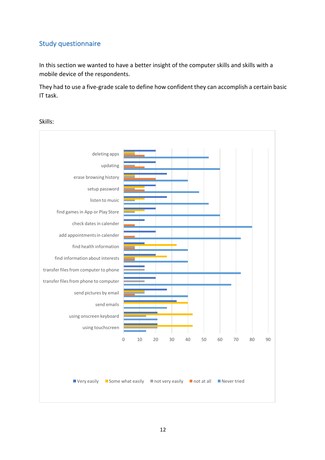### Study questionnaire

In this section we wanted to have a better insight of the computer skills and skills with a mobile device of the respondents.

They had to use a five-grade scale to define how confident they can accomplish a certain basic IT task.

Skills:

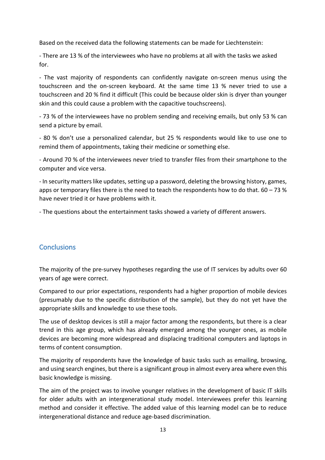Based on the received data the following statements can be made for Liechtenstein:

- There are 13 % of the interviewees who have no problems at all with the tasks we asked for. 

- The vast majority of respondents can confidently navigate on-screen menus using the touchscreen and the on-screen keyboard. At the same time 13 % never tried to use a touchscreen and 20 % find it difficult (This could be because older skin is dryer than younger skin and this could cause a problem with the capacitive touchscreens).

- 73 % of the interviewees have no problem sending and receiving emails, but only 53 % can send a picture by email.

- 80 % don't use a personalized calendar, but 25 % respondents would like to use one to remind them of appointments, taking their medicine or something else.

- Around 70 % of the interviewees never tried to transfer files from their smartphone to the computer and vice versa.

- In security matters like updates, setting up a password, deleting the browsing history, games, apps or temporary files there is the need to teach the respondents how to do that.  $60 - 73$  % have never tried it or have problems with it.

- The questions about the entertainment tasks showed a variety of different answers.

### **Conclusions**

The majority of the pre-survey hypotheses regarding the use of IT services by adults over 60 years of age were correct.

Compared to our prior expectations, respondents had a higher proportion of mobile devices (presumably due to the specific distribution of the sample), but they do not yet have the appropriate skills and knowledge to use these tools.

The use of desktop devices is still a major factor among the respondents, but there is a clear trend in this age group, which has already emerged among the younger ones, as mobile devices are becoming more widespread and displacing traditional computers and laptops in terms of content consumption.

The majority of respondents have the knowledge of basic tasks such as emailing, browsing, and using search engines, but there is a significant group in almost every area where even this basic knowledge is missing.

The aim of the project was to involve younger relatives in the development of basic IT skills for older adults with an intergenerational study model. Interviewees prefer this learning method and consider it effective. The added value of this learning model can be to reduce intergenerational distance and reduce age-based discrimination.